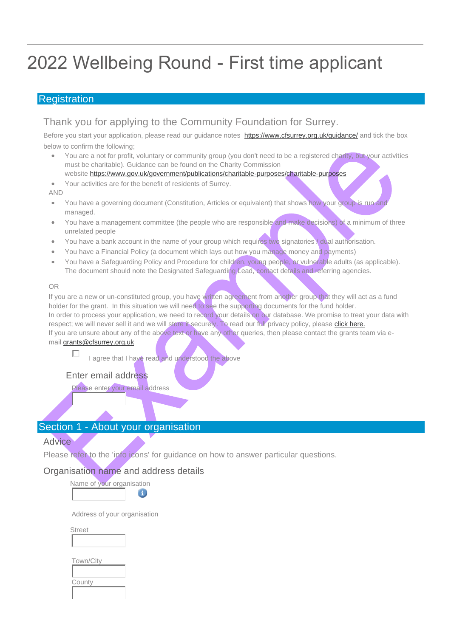# 2022 Wellbeing Round - First time applicant

# **Registration**

# Thank you for applying to the Community Foundation for Surrey.

Before you start your application, please read our guidance notes <https://www.cfsurrey.org.uk/guidance/> and tick the box below to confirm the following;

- You are a not for profit, voluntary or community group (you don't need to be a registered charity, but your activities must be charitable). Guidance can be found on the Charity Commission
	- website <https://www.gov.uk/government/publications/charitable-purposes/charitable-purposes>
- Your activities are for the benefit of residents of Surrey.
- AND
- You have a governing document (Constitution, Articles or equivalent) that shows how your group is run and managed.
- You have a management committee (the people who are responsible and make decisions) of a minimum of three unrelated people
- You have a bank account in the name of your group which requires two signatories / dual authorisation.
- You have a Financial Policy (a document which lays out how you manage money and payments)
- You have a Safeguarding Policy and Procedure for children, young people, or vulnerable adults (as applicable). The document should note the Designated Safeguarding Lead, contact details and referring agencies.

#### OR

If you are a new or un-constituted group, you have written agreement from another group that they will act as a fund holder for the grant. In this situation we will need to see the supporting documents for the fund holder. In order to process your application, we need to record your details on our database. We promise to treat your data with respect; we will never sell it and we will store it securely. To read our full privacy policy, please [click here.](https://www.cfsurrey.org.uk/privacy/)  If you are unsure about any of the above text or have any other queries, then please contact the grants team via e-

#### mail [grants@cfsurrey.org.uk](mailto:grants@cfsurrey.org.uk)

п

I agree that I have read and understood the above

#### Enter email address

Please enter your email address

# Section 1 - About your organisation

#### Advice

Please refer to the 'info icons' for guidance on how to answer particular questions.

## Organisation name and address details

|  |  | Name of your organisation |
|--|--|---------------------------|
|  |  |                           |

Address of your organisation

Street

| ⊺own/Ci |
|---------|
|         |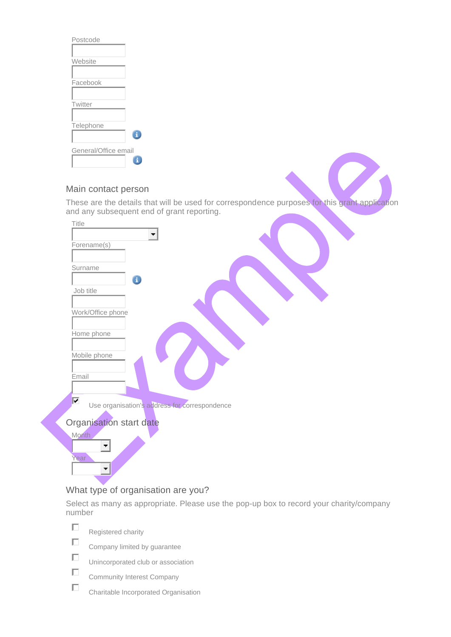| Postcode             |
|----------------------|
|                      |
| Website              |
|                      |
| Facebook             |
|                      |
| Twitter              |
|                      |
| Telephone            |
|                      |
| General/Office email |
|                      |

# Main contact person

These are the details that will be used for correspondence purposes for this grant application and any subsequent end of grant reporting.



# What type of organisation are you?

Select as many as appropriate. Please use the pop-up box to record your charity/company number



- Registered charity
- Company limited by guarantee
- $\Box$ Unincorporated club or association
- $\Box$ Community Interest Company
- $\Box$ Charitable Incorporated Organisation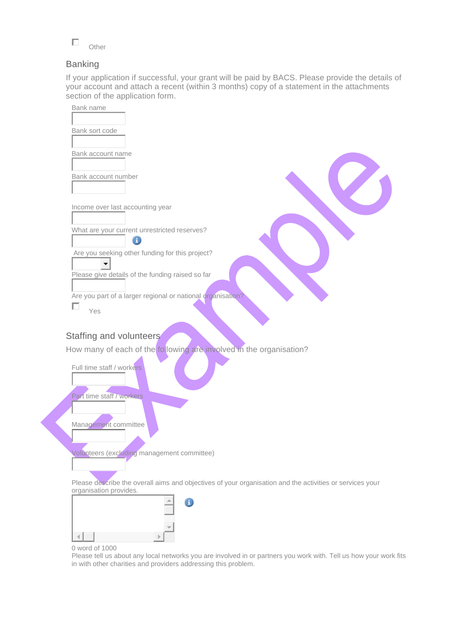

## Banking

If your application if successful, your grant will be paid by BACS. Please provide the details of your account and attach a recent (within 3 months) copy of a statement in the attachments section of the application form.



Management committee

Volunteers (excluding management committee)

Please describe the overall aims and objectives of your organisation and the activities or services your organisation provides.



0 word of 1000

Please tell us about any local networks you are involved in or partners you work with. Tell us how your work fits in with other charities and providers addressing this problem.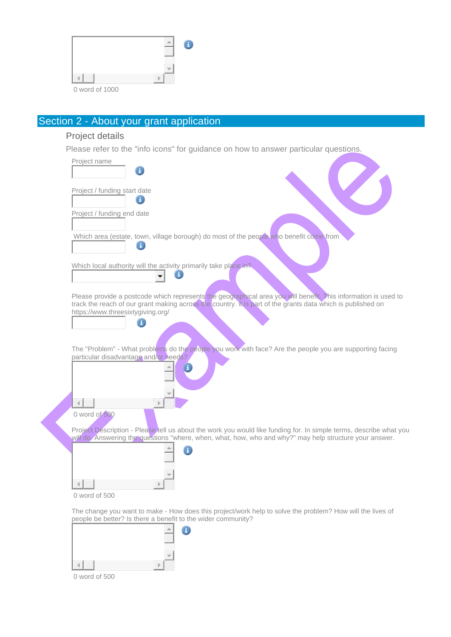

# Section 2 - About your grant application

#### Project details

Please refer to the "info icons" for guidance on how to answer particular questions.



The change you want to make - How does this project/work help to solve the problem? How will the lives of people be better? Is there a benefit to the wider community?

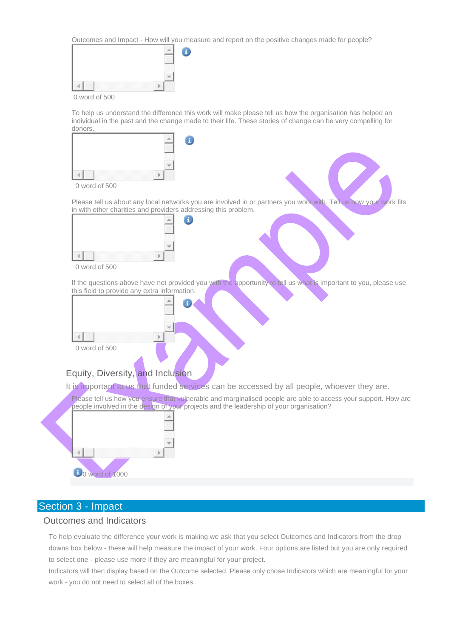Outcomes and Impact - How will you measure and report on the positive changes made for people?



0 word of 500

To help us understand the difference this work will make please tell us how the organisation has helped an individual in the past and the change made to their life. These stories of change can be very compelling for donors.



0 word of 500

Please tell us about any local networks you are involved in or partners you work with. Tell us how your work fits in with other charities and providers addressing this problem.



0 word of 500

If the questions above have not provided you with the opportunity to tell us what is important to you, please use this field to provide any extra information.

 $\lVert \cdot \rVert$ 

0 word of 500

## Equity, Diversity, and Inclusion

 $\mathbb{R}$ 

A.

It is important to us that funded services can be accessed by all people, whoever they are.

Please tell us how you ensure that vulnerable and marginalised people are able to access your support. How are people involved in the design of your projects and the leadership of your organisation?



 $\bar{q}$ 

#### Outcomes and Indicators

 $10$  word of  $1000$ 

To help evaluate the difference your work is making we ask that you select Outcomes and Indicators from the drop downs box below - these will help measure the impact of your work. Four options are listed but you are only required to select one - please use more if they are meaningful for your project.

Indicators will then display based on the Outcome selected. Please only chose Indicators which are meaningful for your work - you do not need to select all of the boxes.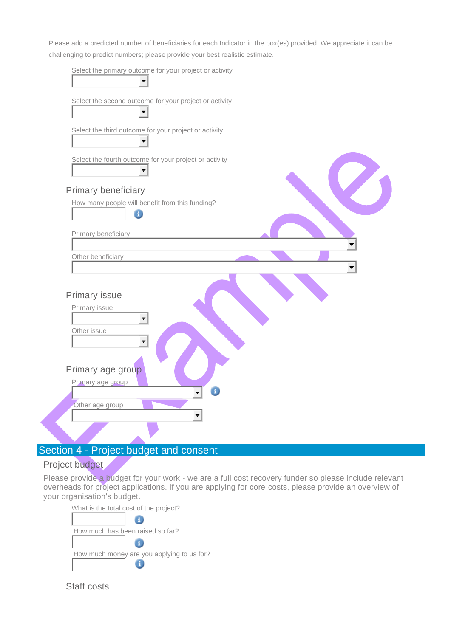Please add a predicted number of beneficiaries for each Indicator in the box(es) provided. We appreciate it can be challenging to predict numbers; please provide your best realistic estimate.



# Section 4 - Project budget and consent

### Project budget

Please provide a budget for your work - we are a full cost recovery funder so please include relevant overheads for project applications. If you are applying for core costs, please provide an overview of your organisation's budget.



Staff costs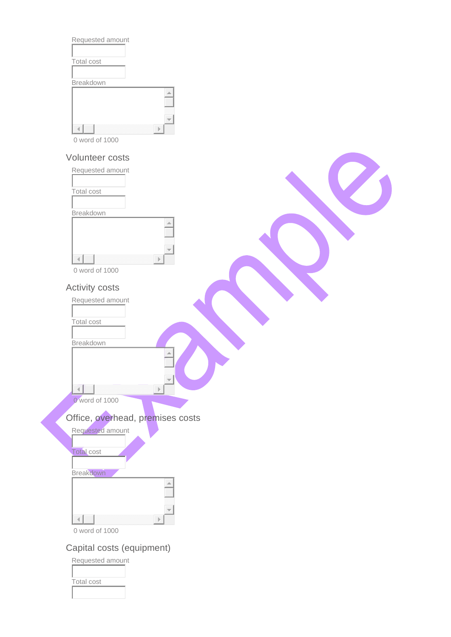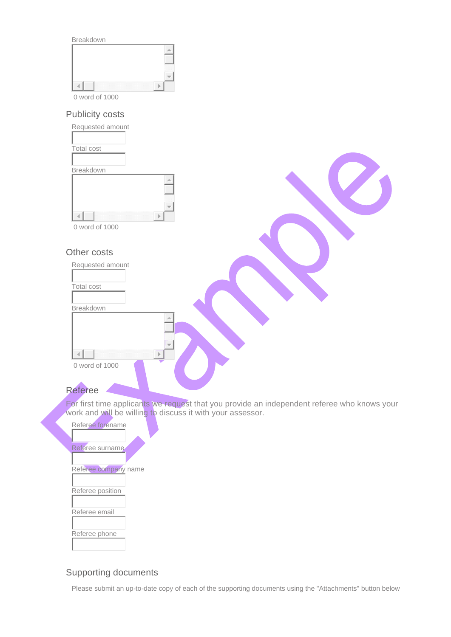

| Referee forename     |
|----------------------|
|                      |
| Referee surname      |
|                      |
| Referee company name |
|                      |
| Referee position     |
|                      |
| Referee email        |
|                      |
| Referee phone        |
|                      |

#### Supporting documents

T

Please submit an up-to-date copy of each of the supporting documents using the "Attachments" button below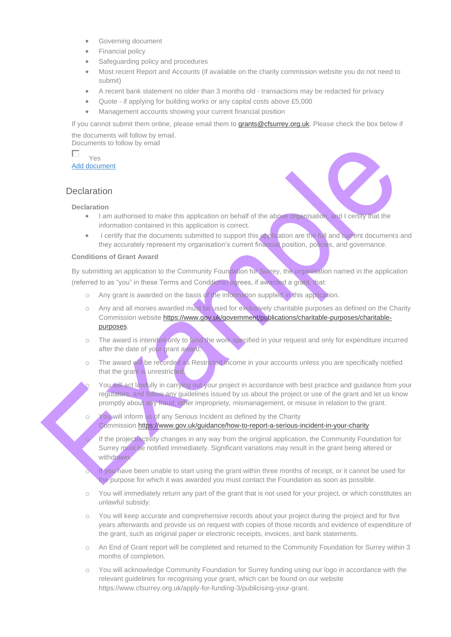- Governing document
- Financial policy
- Safeguarding policy and procedures
- Most recent Report and Accounts (if available on the charity commission website you do not need to submit)
- A recent bank statement no older than 3 months old transactions may be redacted for privacy
- Quote if applying for building works or any capital costs above £5,000
- Management accounts showing your current financial position

If you cannot submit them online, please email them to [grants@cfsurrey.org.uk.](mailto:grants@cfsurrey.org.uk?subject=Supporting%20documents%20-%20Winter%202021%20Poverty%20Fund) Please check the box below if the documents will follow by email.

Documents to follow by email

| Yes          |
|--------------|
| Add document |

## **Declaration**

#### **Declaration**

- I am authorised to make this application on behalf of the above organisation, and I certify that the information contained in this application is correct.
- I certify that the documents submitted to support this application are the full and current documents and they accurately represent my organisation's current financial position, policies, and governance.

#### **Conditions of Grant Award**

By submitting an application to the Community Foundation for Surrey, the organisation named in the application (referred to as "you" in these Terms and Conditions) agrees, if awarded a grant, that:

- o Any grant is awarded on the basis of the information supplied in this application.
- o Any and all monies awarded must be used for exclusively charitable purposes as defined on the Charity Commission website [https://www.gov.uk/government/publications/charitable-purposes/charitable](https://www.gov.uk/government/publications/charitable-purposes/charitable-purposes)[purposes.](https://www.gov.uk/government/publications/charitable-purposes/charitable-purposes)
- o The award is intended only to fund the work specified in your request and only for expenditure incurred after the date of your grant award.
- o The award will be recorded as Restricted income in your accounts unless you are specifically notified that the grant is unrestricted.
	- You will act lawfully in carrying out your project in accordance with best practice and guidance from your regulators, and follow any guidelines issued by us about the project or use of the grant and let us know promptly about any fraud, other impropriety, mismanagement, or misuse in relation to the grant.
- You will inform us of any Serious Incident as defined by the Charity Commission <https://www.gov.uk/guidance/how-to-report-a-serious-incident-in-your-charity>

If the project/activity changes in any way from the original application, the Community Foundation for Surrey must be notified immediately. Significant variations may result in the grant being altered or withdrawn.

If you have been unable to start using the grant within three months of receipt, or it cannot be used for the purpose for which it was awarded you must contact the Foundation as soon as possible.

- o You will immediately return any part of the grant that is not used for your project, or which constitutes an unlawful subsidy.
- o You will keep accurate and comprehensive records about your project during the project and for five years afterwards and provide us on request with copies of those records and evidence of expenditure of the grant, such as original paper or electronic receipts, invoices, and bank statements.
- o An End of Grant report will be completed and returned to the Community Foundation for Surrey within 3 months of completion.
- o You will acknowledge Community Foundation for Surrey funding using our logo in accordance with the relevant guidelines for recognising your grant, which can be found on our website https://www.cfsurrey.org.uk/apply-for-funding-3/publicising-your-grant.